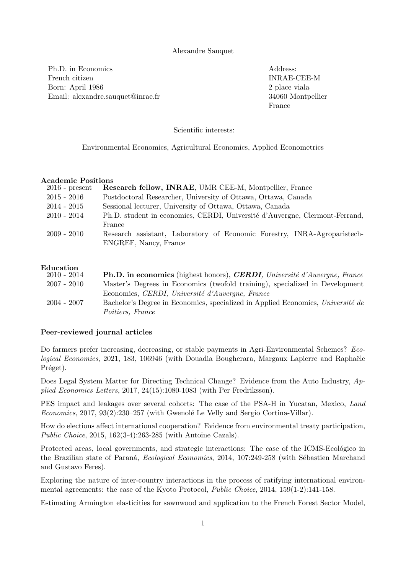### Alexandre Sauquet

Ph.D. in Economics and the set of the set of the Address: French citizen INRAE-CEE-M Born: April 1986 2 place viala Email: alexandre.sauquet@inrae.fr 34060 Montpellier

France

Scientific interests:

Environmental Economics, Agricultural Economics, Applied Econometrics

#### Academic Positions

| $2016$ - present | Research fellow, INRAE, UMR CEE-M, Montpellier, France                      |
|------------------|-----------------------------------------------------------------------------|
| $2015$ - $2016$  | Postdoctoral Researcher, University of Ottawa, Ottawa, Canada               |
| $2014 - 2015$    | Sessional lecturer, University of Ottawa, Ottawa, Canada                    |
| 2010 - 2014      | Ph.D. student in economics, CERDI, Université d'Auvergne, Clermont-Ferrand, |
|                  | France                                                                      |
| 2009 - 2010      | Research assistant, Laboratory of Economic Forestry, INRA-Agroparistech-    |
|                  | ENGREF, Nancy, France                                                       |

#### Education

| $2010 - 2014$ | <b>Ph.D.</b> in economics (highest honors), <i>CERDI</i> , <i>Université d'Auvergne</i> , <i>France</i> |
|---------------|---------------------------------------------------------------------------------------------------------|
| $2007 - 2010$ | Master's Degrees in Economics (twofold training), specialized in Development                            |
|               | Economics, CERDI, Université d'Auvergne, France                                                         |
| $2004 - 2007$ | Bachelor's Degree in Economics, specialized in Applied Economics, Université de                         |
|               | <i>Poitiers, France</i>                                                                                 |

#### Peer-reviewed journal articles

Do farmers prefer increasing, decreasing, or stable payments in Agri-Environmental Schemes? Ecological Economics, 2021, 183, 106946 (with Douadia Bougherara, Margaux Lapierre and Raphaële Préget).

Does Legal System Matter for Directing Technical Change? Evidence from the Auto Industry, Applied Economics Letters, 2017, 24(15):1080-1083 (with Per Fredriksson).

PES impact and leakages over several cohorts: The case of the PSA-H in Yucatan, Mexico, Land Economics, 2017, 93(2):230–257 (with Gwenolé Le Velly and Sergio Cortina-Villar).

How do elections affect international cooperation? Evidence from environmental treaty participation, Public Choice, 2015, 162(3-4):263-285 (with Antoine Cazals).

Protected areas, local governments, and strategic interactions: The case of the ICMS-Ecológico in the Brazilian state of Paraná, Ecological Economics, 2014, 107:249-258 (with Sébastien Marchand and Gustavo Feres).

Exploring the nature of inter-country interactions in the process of ratifying international environmental agreements: the case of the Kyoto Protocol, Public Choice, 2014, 159(1-2):141-158.

Estimating Armington elasticities for sawnwood and application to the French Forest Sector Model,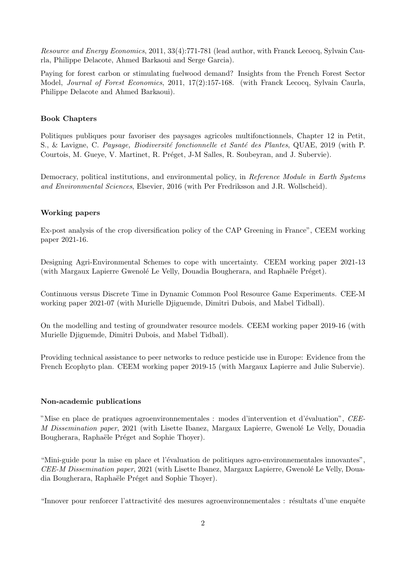Resource and Energy Economics, 2011, 33(4):771-781 (lead author, with Franck Lecocq, Sylvain Caurla, Philippe Delacote, Ahmed Barkaoui and Serge Garcia).

Paying for forest carbon or stimulating fuelwood demand? Insights from the French Forest Sector Model, *Journal of Forest Economics*, 2011, 17(2):157-168. (with Franck Lecocq, Sylvain Caurla, Philippe Delacote and Ahmed Barkaoui).

# Book Chapters

Politiques publiques pour favoriser des paysages agricoles multifonctionnels, Chapter 12 in Petit, S., & Lavigne, C. Paysage, Biodiversité fonctionnelle et Santé des Plantes, QUAE, 2019 (with P. Courtois, M. Gueve, V. Martinet, R. Préget, J-M Salles, R. Soubeyran, and J. Subervie).

Democracy, political institutions, and environmental policy, in Reference Module in Earth Systems and Environmental Sciences, Elsevier, 2016 (with Per Fredriksson and J.R. Wollscheid).

# Working papers

Ex-post analysis of the crop diversification policy of the CAP Greening in France", CEEM working paper 2021-16.

Designing Agri-Environmental Schemes to cope with uncertainty. CEEM working paper 2021-13 (with Margaux Lapierre Gwenolé Le Velly, Douadia Bougherara, and Raphaële Préget).

Continuous versus Discrete Time in Dynamic Common Pool Resource Game Experiments. CEE-M working paper 2021-07 (with Murielle Djiguemde, Dimitri Dubois, and Mabel Tidball).

On the modelling and testing of groundwater resource models. CEEM working paper 2019-16 (with Murielle Djiguemde, Dimitri Dubois, and Mabel Tidball).

Providing technical assistance to peer networks to reduce pesticide use in Europe: Evidence from the French Ecophyto plan. CEEM working paper 2019-15 (with Margaux Lapierre and Julie Subervie).

# Non-academic publications

"Mise en place de pratiques agroenvironnementales : modes d'intervention et d'évaluation", CEE-M Dissemination paper, 2021 (with Lisette Ibanez, Margaux Lapierre, Gwenolé Le Velly, Douadia Bougherara, Raphaële Préget and Sophie Thoyer).

"Mini-guide pour la mise en place et l'évaluation de politiques agro-environnementales innovantes", CEE-M Dissemination paper, 2021 (with Lisette Ibanez, Margaux Lapierre, Gwenolé Le Velly, Douadia Bougherara, Raphaële Préget and Sophie Thoyer).

"Innover pour renforcer l'attractivité des mesures agroenvironnementales : résultats d'une enquête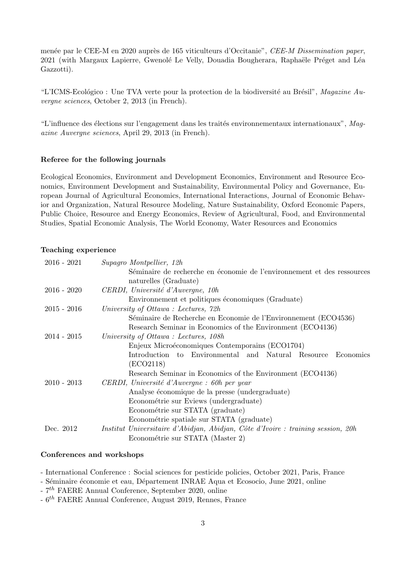menée par le CEE-M en 2020 auprès de 165 viticulteurs d'Occitanie", CEE-M Dissemination paper, 2021 (with Margaux Lapierre, Gwenolé Le Velly, Douadia Bougherara, Raphaële Préget and Léa Gazzotti).

"L'ICMS-Ecológico : Une TVA verte pour la protection de la biodiversité au Brésil", Magazine Auvergne sciences, October 2, 2013 (in French).

"L'influence des élections sur l'engagement dans les traités environnementaux internationaux", Magazine Auvergne sciences, April 29, 2013 (in French).

## Referee for the following journals

Ecological Economics, Environment and Development Economics, Environment and Resource Economics, Environment Development and Sustainability, Environmental Policy and Governance, European Journal of Agricultural Economics, International Interactions, Journal of Economic Behavior and Organization, Natural Resource Modeling, Nature Sustainability, Oxford Economic Papers, Public Choice, Resource and Energy Economics, Review of Agricultural, Food, and Environmental Studies, Spatial Economic Analysis, The World Economy, Water Resources and Economics

## Teaching experience

| $2016 - 2021$ | Supagro Montpellier, 12h                                                         |
|---------------|----------------------------------------------------------------------------------|
|               | Séminaire de recherche en économie de l'environnement et des ressources          |
|               | naturelles (Graduate)                                                            |
| $2016 - 2020$ | CERDI, Université d'Auvergne, 10h                                                |
|               | Environnement et politiques économiques (Graduate)                               |
| $2015 - 2016$ | University of Ottawa: Lectures, 72h                                              |
|               | Séminaire de Recherche en Economie de l'Environnement (ECO4536)                  |
|               | Research Seminar in Economics of the Environment (ECO4136)                       |
| $2014 - 2015$ | University of Ottawa: Lectures, 108h                                             |
|               | Enjeux Microéconomiques Contemporains (ECO1704)                                  |
|               | Introduction to Environmental and Natural Resource<br>Economics                  |
|               | (ECO2118)                                                                        |
|               | Research Seminar in Economics of the Environment (ECO4136)                       |
| $2010 - 2013$ | CERDI, Université d'Auvergne : 60h per year                                      |
|               | Analyse économique de la presse (undergraduate)                                  |
|               | Econométrie sur Eviews (undergraduate)                                           |
|               | Econométrie sur STATA (graduate)                                                 |
|               | Econométrie spatiale sur STATA (graduate)                                        |
| Dec. 2012     | Institut Universitaire d'Abidjan, Abidjan, Côte d'Ivoire : training session, 20h |
|               | Econométrie sur STATA (Master 2)                                                 |
|               |                                                                                  |

#### Conferences and workshops

- International Conference : Social sciences for pesticide policies, October 2021, Paris, France

- Séminaire économie et eau, Département INRAE Aqua et Ecosocio, June 2021, online

 $-7$ <sup>th</sup> FAERE Annual Conference, September 2020, online

 $-6$ <sup>th</sup> FAERE Annual Conference, August 2019, Rennes, France